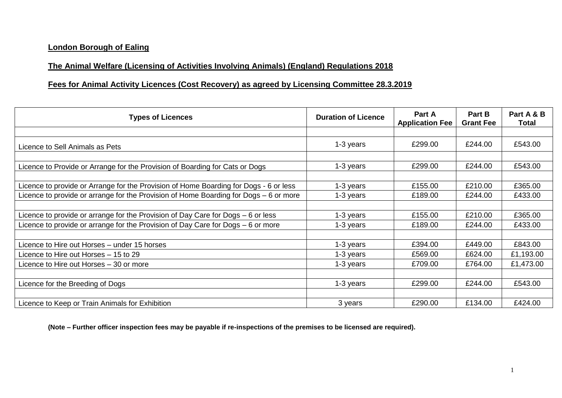## **London Borough of Ealing**

## **The Animal Welfare (Licensing of Activities Involving Animals) (England) Regulations 2018**

## **Fees for Animal Activity Licences (Cost Recovery) as agreed by Licensing Committee 28.3.2019**

| <b>Types of Licences</b>                                                              | <b>Duration of Licence</b> | Part A<br><b>Application Fee</b> | <b>Part B</b><br><b>Grant Fee</b> | Part A & B<br>Total |
|---------------------------------------------------------------------------------------|----------------------------|----------------------------------|-----------------------------------|---------------------|
|                                                                                       |                            |                                  |                                   |                     |
| Licence to Sell Animals as Pets                                                       | 1-3 years                  | £299.00                          | £244.00                           | £543.00             |
|                                                                                       |                            |                                  |                                   |                     |
| Licence to Provide or Arrange for the Provision of Boarding for Cats or Dogs          | 1-3 years                  | £299.00                          | £244.00                           | £543.00             |
|                                                                                       |                            |                                  |                                   |                     |
| Licence to provide or Arrange for the Provision of Home Boarding for Dogs - 6 or less | 1-3 years                  | £155.00                          | £210.00                           | £365.00             |
| Licence to provide or arrange for the Provision of Home Boarding for Dogs - 6 or more | 1-3 years                  | £189.00                          | £244.00                           | £433.00             |
|                                                                                       |                            |                                  |                                   |                     |
| Licence to provide or arrange for the Provision of Day Care for Dogs – 6 or less      | 1-3 years                  | £155.00                          | £210.00                           | £365.00             |
| Licence to provide or arrange for the Provision of Day Care for Dogs – 6 or more      | 1-3 years                  | £189.00                          | £244.00                           | £433.00             |
|                                                                                       |                            |                                  |                                   |                     |
| Licence to Hire out Horses – under 15 horses                                          | 1-3 years                  | £394.00                          | £449.00                           | £843.00             |
| Licence to Hire out Horses - 15 to 29                                                 | 1-3 years                  | £569.00                          | £624.00                           | £1,193.00           |
| Licence to Hire out Horses - 30 or more                                               | 1-3 years                  | £709.00                          | £764.00                           | £1,473.00           |
|                                                                                       |                            |                                  |                                   |                     |
| Licence for the Breeding of Dogs                                                      | 1-3 years                  | £299.00                          | £244.00                           | £543.00             |
|                                                                                       |                            |                                  |                                   |                     |
| Licence to Keep or Train Animals for Exhibition                                       | 3 years                    | £290.00                          | £134.00                           | £424.00             |

**(Note – Further officer inspection fees may be payable if re-inspections of the premises to be licensed are required).**